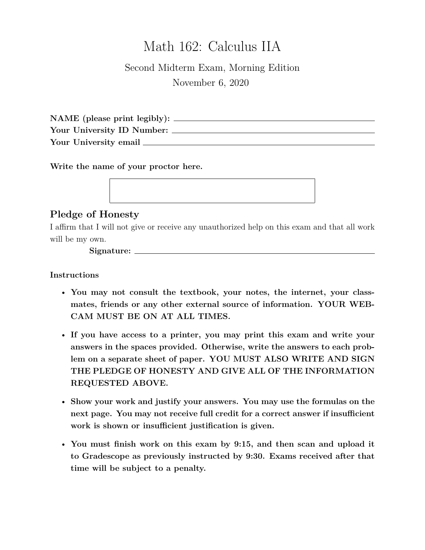# Math 162: Calculus IIA

## Second Midterm Exam, Morning Edition November 6, 2020

**NAME (please print legibly): Your University ID Number: Your University email**

**Write the name of your proctor here.**

### **Pledge of Honesty**

I affirm that I will not give or receive any unauthorized help on this exam and that all work will be my own.

**Signature:**

**Instructions**

- **You may not consult the textbook, your notes, the internet, your classmates, friends or any other external source of information. YOUR WEB-CAM MUST BE ON AT ALL TIMES.**
- **If you have access to a printer, you may print this exam and write your answers in the spaces provided. Otherwise, write the answers to each problem on a separate sheet of paper. YOU MUST ALSO WRITE AND SIGN THE PLEDGE OF HONESTY AND GIVE ALL OF THE INFORMATION REQUESTED ABOVE.**
- **Show your work and justify your answers. You may use the formulas on the next page. You may not receive full credit for a correct answer if insufficient work is shown or insufficient justification is given.**
- **You must finish work on this exam by 9:15, and then scan and upload it to Gradescope as previously instructed by 9:30. Exams received after that time will be subject to a penalty.**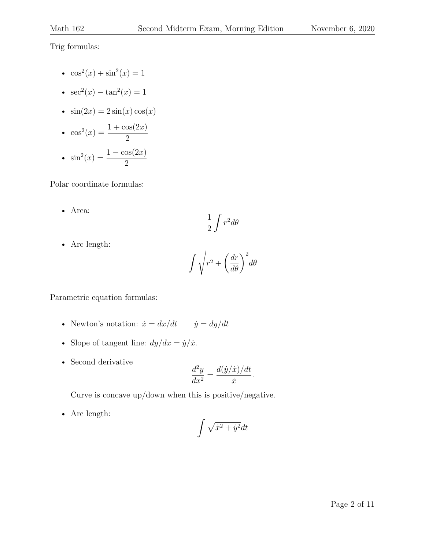Trig formulas:

- $\cos^2(x) + \sin^2(x) = 1$
- $sec^2(x) tan^2(x) = 1$
- $\sin(2x) = 2\sin(x)\cos(x)$

• 
$$
\cos^2(x) = \frac{1 + \cos(2x)}{2}
$$
  
\n•  $\sin^2(x) = \frac{1 - \cos(2x)}{2}$ 

Polar coordinate formulas:

• Area:

$$
\frac{1}{2}\int r^2 d\theta
$$

• Arc length:

$$
\int \sqrt{r^2+\left(\frac{dr}{d\theta}\right)^2}d\theta
$$

Parametric equation formulas:

- Newton's notation:  $\dot{x} = dx/dt$   $\dot{y} = dy/dt$
- Slope of tangent line:  $dy/dx = \dot{y}/\dot{x}$ .
- Second derivative

$$
\frac{d^2y}{dx^2} = \frac{d(\dot{y}/\dot{x})/dt}{\dot{x}}.
$$

Curve is concave up/down when this is positive/negative.

• Arc length:

$$
\int \sqrt{\dot{x}^2 + \dot{y}^2} dt
$$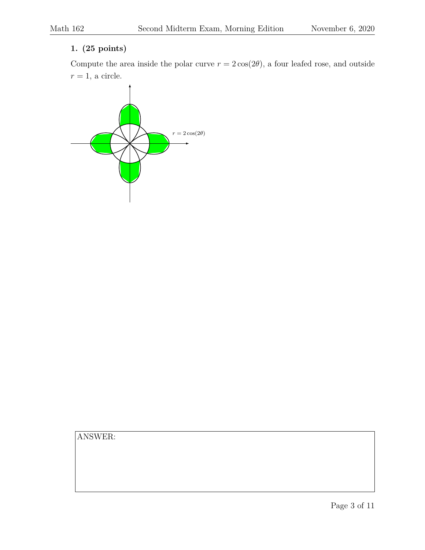### **1. (25 points)**

Compute the area inside the polar curve  $r = 2 \cos(2\theta)$ , a four leafed rose, and outside  $r = 1$ , a circle.

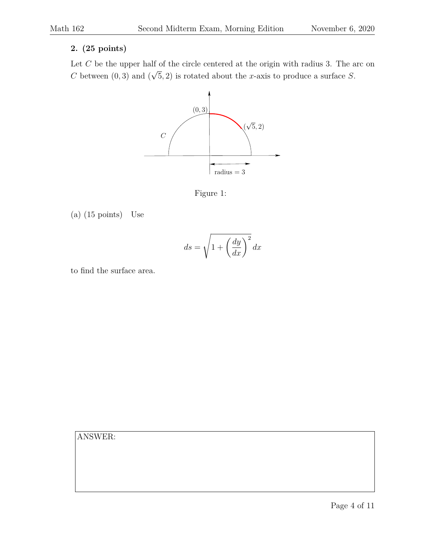#### **2. (25 points)**

Let  $C$  be the upper half of the circle centered at the origin with radius 3. The arc on C between  $(0, 3)$  and  $($ √  $(5, 2)$  is rotated about the x-axis to produce a surface S.



Figure 1:

(a) (15 points) Use

$$
ds = \sqrt{1 + \left(\frac{dy}{dx}\right)^2} dx
$$

to find the surface area.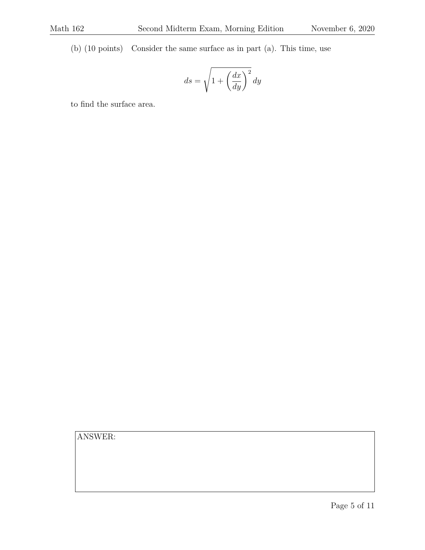(b) (10 points) Consider the same surface as in part (a). This time, use

$$
ds=\sqrt{1+\left(\frac{dx}{dy}\right)^2}\,dy
$$

to find the surface area.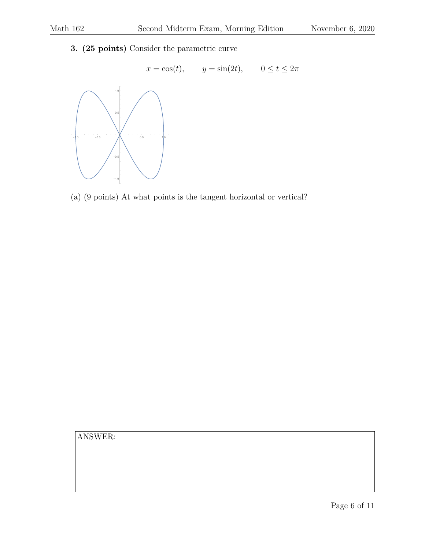**3. (25 points)** Consider the parametric curve



(a) (9 points) At what points is the tangent horizontal or vertical?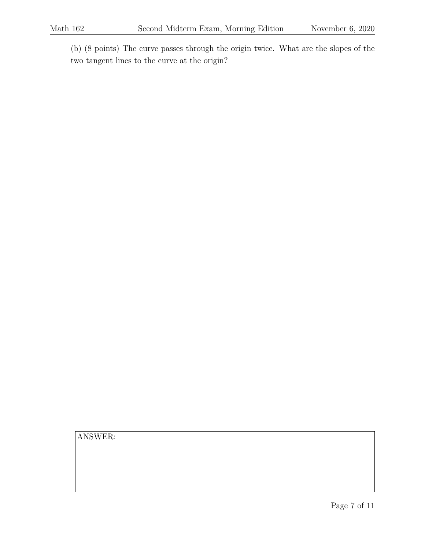(b) (8 points) The curve passes through the origin twice. What are the slopes of the two tangent lines to the curve at the origin?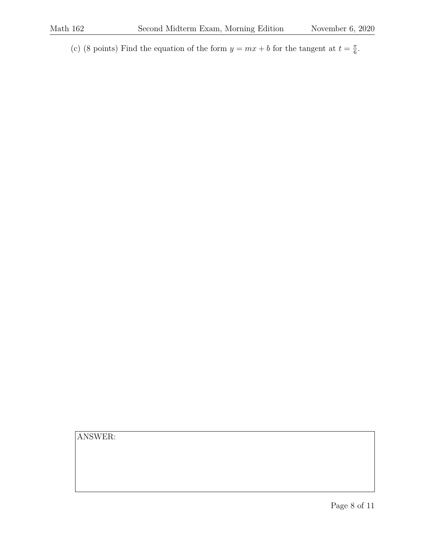(c) (8 points) Find the equation of the form  $y = mx + b$  for the tangent at  $t = \frac{\pi}{6}$  $\frac{\pi}{6}$ .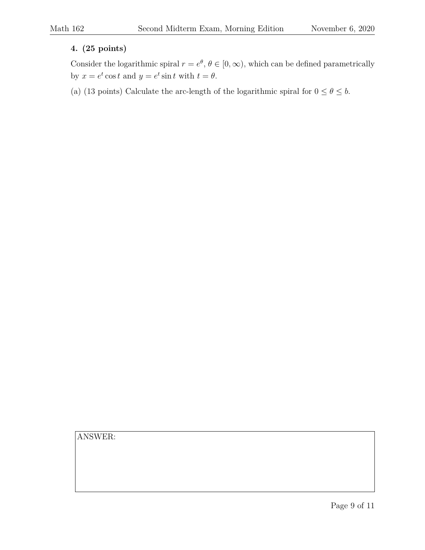### **4. (25 points)**

Consider the logarithmic spiral  $r = e^{\theta}$ ,  $\theta \in [0, \infty)$ , which can be defined parametrically by  $x = e^t \cos t$  and  $y = e^t \sin t$  with  $t = \theta$ .

(a) (13 points) Calculate the arc-length of the logarithmic spiral for  $0 \le \theta \le b$ .